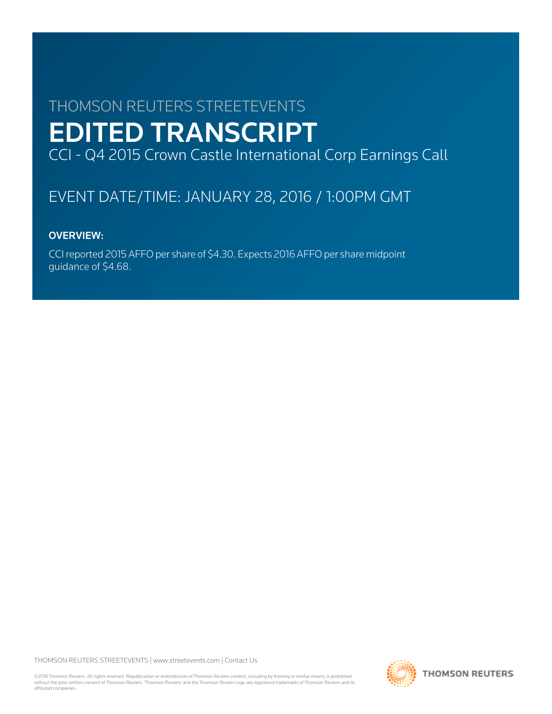# THOMSON REUTERS STREETEVENTS EDITED TRANSCRIPT CCI - Q4 2015 Crown Castle International Corp Earnings Call

# EVENT DATE/TIME: JANUARY 28, 2016 / 1:00PM GMT

# OVERVIEW:

CCI reported 2015 AFFO per share of \$4.30. Expects 2016 AFFO per share midpoint guidance of \$4.68.

THOMSON REUTERS STREETEVENTS | [www.streetevents.com](http://www.streetevents.com) | [Contact Us](http://www010.streetevents.com/contact.asp)

©2016 Thomson Reuters. All rights reserved. Republication or redistribution of Thomson Reuters content, including by framing or similar means, is prohibited without the prior written consent of Thomson Reuters. 'Thomson Reuters' and the Thomson Reuters logo are registered trademarks of Thomson Reuters and its affiliated companies.

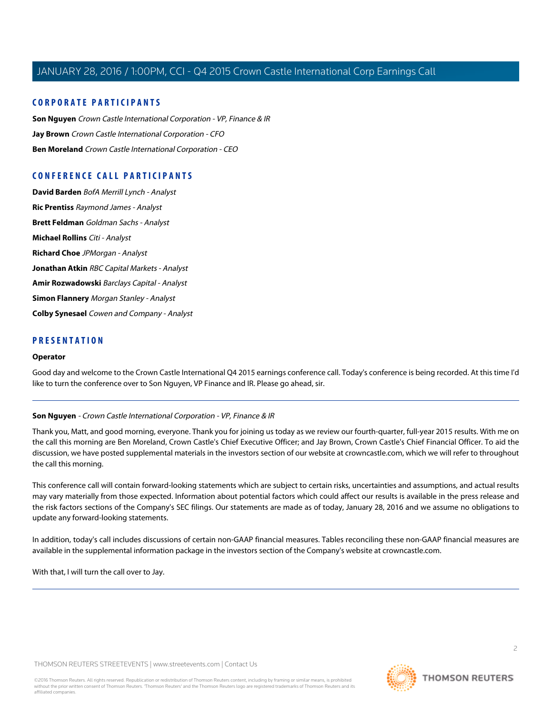# **CORPORATE PARTICIPANTS**

**[Son Nguyen](#page-1-0)** Crown Castle International Corporation - VP, Finance & IR **[Jay Brown](#page-2-0)** Crown Castle International Corporation - CFO **[Ben Moreland](#page-3-0)** Crown Castle International Corporation - CEO

# **CONFERENCE CALL PARTICIPANTS**

**[David Barden](#page-5-0)** BofA Merrill Lynch - Analyst **[Ric Prentiss](#page-7-0)** Raymond James - Analyst **[Brett Feldman](#page-8-0)** Goldman Sachs - Analyst **[Michael Rollins](#page-10-0)** Citi - Analyst **[Richard Choe](#page-11-0)** JPMorgan - Analyst **[Jonathan Atkin](#page-12-0)** RBC Capital Markets - Analyst **[Amir Rozwadowski](#page-13-0)** Barclays Capital - Analyst **[Simon Flannery](#page-15-0)** Morgan Stanley - Analyst **[Colby Synesael](#page-16-0)** Cowen and Company - Analyst

# **PRESENTATION**

#### **Operator**

<span id="page-1-0"></span>Good day and welcome to the Crown Castle International Q4 2015 earnings conference call. Today's conference is being recorded. At this time I'd like to turn the conference over to Son Nguyen, VP Finance and IR. Please go ahead, sir.

#### **Son Nguyen** - Crown Castle International Corporation - VP, Finance & IR

Thank you, Matt, and good morning, everyone. Thank you for joining us today as we review our fourth-quarter, full-year 2015 results. With me on the call this morning are Ben Moreland, Crown Castle's Chief Executive Officer; and Jay Brown, Crown Castle's Chief Financial Officer. To aid the discussion, we have posted supplemental materials in the investors section of our website at crowncastle.com, which we will refer to throughout the call this morning.

This conference call will contain forward-looking statements which are subject to certain risks, uncertainties and assumptions, and actual results may vary materially from those expected. Information about potential factors which could affect our results is available in the press release and the risk factors sections of the Company's SEC filings. Our statements are made as of today, January 28, 2016 and we assume no obligations to update any forward-looking statements.

In addition, today's call includes discussions of certain non-GAAP financial measures. Tables reconciling these non-GAAP financial measures are available in the supplemental information package in the investors section of the Company's website at crowncastle.com.

With that, I will turn the call over to Jay.

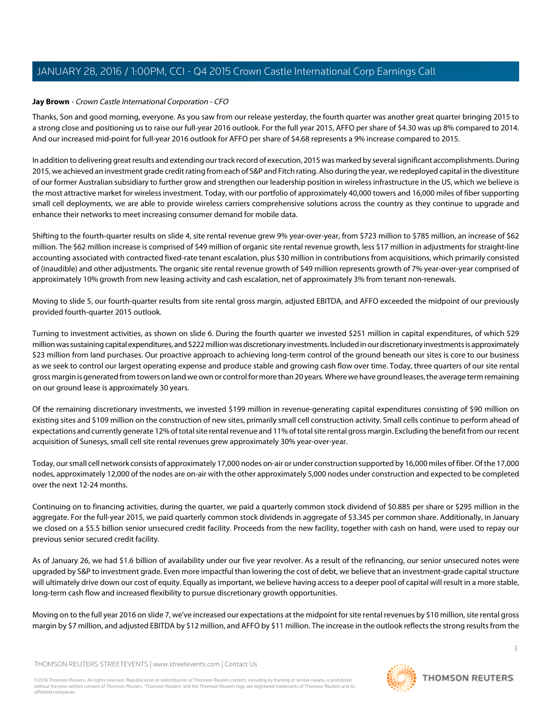# <span id="page-2-0"></span>**Jay Brown** - Crown Castle International Corporation - CFO

Thanks, Son and good morning, everyone. As you saw from our release yesterday, the fourth quarter was another great quarter bringing 2015 to a strong close and positioning us to raise our full-year 2016 outlook. For the full year 2015, AFFO per share of \$4.30 was up 8% compared to 2014. And our increased mid-point for full-year 2016 outlook for AFFO per share of \$4.68 represents a 9% increase compared to 2015.

In addition to delivering great results and extending our track record of execution, 2015 was marked by several significant accomplishments. During 2015, we achieved an investment grade credit rating from each of S&P and Fitch rating. Also during the year, we redeployed capital in the divestiture of our former Australian subsidiary to further grow and strengthen our leadership position in wireless infrastructure in the US, which we believe is the most attractive market for wireless investment. Today, with our portfolio of approximately 40,000 towers and 16,000 miles of fiber supporting small cell deployments, we are able to provide wireless carriers comprehensive solutions across the country as they continue to upgrade and enhance their networks to meet increasing consumer demand for mobile data.

Shifting to the fourth-quarter results on slide 4, site rental revenue grew 9% year-over-year, from \$723 million to \$785 million, an increase of \$62 million. The \$62 million increase is comprised of \$49 million of organic site rental revenue growth, less \$17 million in adjustments for straight-line accounting associated with contracted fixed-rate tenant escalation, plus \$30 million in contributions from acquisitions, which primarily consisted of (inaudible) and other adjustments. The organic site rental revenue growth of \$49 million represents growth of 7% year-over-year comprised of approximately 10% growth from new leasing activity and cash escalation, net of approximately 3% from tenant non-renewals.

Moving to slide 5, our fourth-quarter results from site rental gross margin, adjusted EBITDA, and AFFO exceeded the midpoint of our previously provided fourth-quarter 2015 outlook.

Turning to investment activities, as shown on slide 6. During the fourth quarter we invested \$251 million in capital expenditures, of which \$29 million was sustaining capital expenditures, and \$222 million was discretionary investments. Included in our discretionary investments is approximately \$23 million from land purchases. Our proactive approach to achieving long-term control of the ground beneath our sites is core to our business as we seek to control our largest operating expense and produce stable and growing cash flow over time. Today, three quarters of our site rental gross margin is generated from towers on land we own or control for more than 20 years. Where we have ground leases, the average term remaining on our ground lease is approximately 30 years.

Of the remaining discretionary investments, we invested \$199 million in revenue-generating capital expenditures consisting of \$90 million on existing sites and \$109 million on the construction of new sites, primarily small cell construction activity. Small cells continue to perform ahead of expectations and currently generate 12% of total site rental revenue and 11% of total site rental gross margin. Excluding the benefit from our recent acquisition of Sunesys, small cell site rental revenues grew approximately 30% year-over-year.

Today, our small cell network consists of approximately 17,000 nodes on-air or under construction supported by 16,000 miles of fiber. Of the 17,000 nodes, approximately 12,000 of the nodes are on-air with the other approximately 5,000 nodes under construction and expected to be completed over the next 12-24 months.

Continuing on to financing activities, during the quarter, we paid a quarterly common stock dividend of \$0.885 per share or \$295 million in the aggregate. For the full-year 2015, we paid quarterly common stock dividends in aggregate of \$3.345 per common share. Additionally, in January we closed on a \$5.5 billion senior unsecured credit facility. Proceeds from the new facility, together with cash on hand, were used to repay our previous senior secured credit facility.

As of January 26, we had \$1.6 billion of availability under our five year revolver. As a result of the refinancing, our senior unsecured notes were upgraded by S&P to investment grade. Even more impactful than lowering the cost of debt, we believe that an investment-grade capital structure will ultimately drive down our cost of equity. Equally as important, we believe having access to a deeper pool of capital will result in a more stable, long-term cash flow and increased flexibility to pursue discretionary growth opportunities.

Moving on to the full year 2016 on slide 7, we've increased our expectations at the midpoint for site rental revenues by \$10 million, site rental gross margin by \$7 million, and adjusted EBITDA by \$12 million, and AFFO by \$11 million. The increase in the outlook reflects the strong results from the

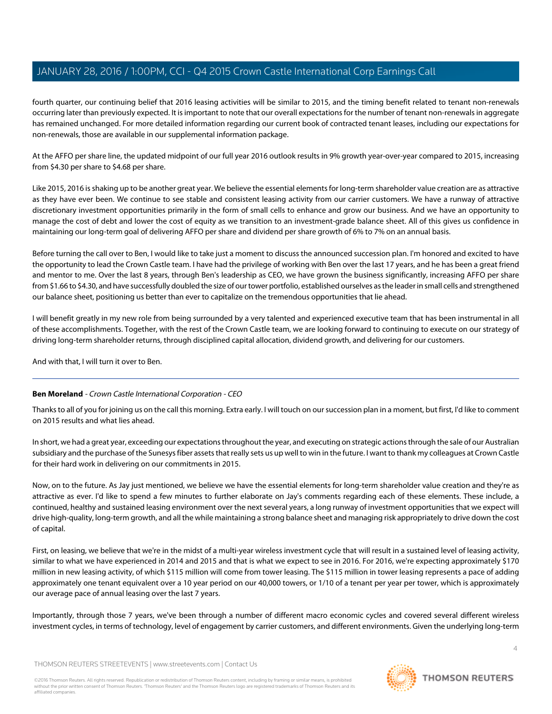fourth quarter, our continuing belief that 2016 leasing activities will be similar to 2015, and the timing benefit related to tenant non-renewals occurring later than previously expected. It is important to note that our overall expectations for the number of tenant non-renewals in aggregate has remained unchanged. For more detailed information regarding our current book of contracted tenant leases, including our expectations for non-renewals, those are available in our supplemental information package.

At the AFFO per share line, the updated midpoint of our full year 2016 outlook results in 9% growth year-over-year compared to 2015, increasing from \$4.30 per share to \$4.68 per share.

Like 2015, 2016 is shaking up to be another great year. We believe the essential elements for long-term shareholder value creation are as attractive as they have ever been. We continue to see stable and consistent leasing activity from our carrier customers. We have a runway of attractive discretionary investment opportunities primarily in the form of small cells to enhance and grow our business. And we have an opportunity to manage the cost of debt and lower the cost of equity as we transition to an investment-grade balance sheet. All of this gives us confidence in maintaining our long-term goal of delivering AFFO per share and dividend per share growth of 6% to 7% on an annual basis.

Before turning the call over to Ben, I would like to take just a moment to discuss the announced succession plan. I'm honored and excited to have the opportunity to lead the Crown Castle team. I have had the privilege of working with Ben over the last 17 years, and he has been a great friend and mentor to me. Over the last 8 years, through Ben's leadership as CEO, we have grown the business significantly, increasing AFFO per share from \$1.66 to \$4.30, and have successfully doubled the size of our tower portfolio, established ourselves as the leader in small cells and strengthened our balance sheet, positioning us better than ever to capitalize on the tremendous opportunities that lie ahead.

I will benefit greatly in my new role from being surrounded by a very talented and experienced executive team that has been instrumental in all of these accomplishments. Together, with the rest of the Crown Castle team, we are looking forward to continuing to execute on our strategy of driving long-term shareholder returns, through disciplined capital allocation, dividend growth, and delivering for our customers.

<span id="page-3-0"></span>And with that, I will turn it over to Ben.

# **Ben Moreland** - Crown Castle International Corporation - CEO

Thanks to all of you for joining us on the call this morning. Extra early. I will touch on our succession plan in a moment, but first, I'd like to comment on 2015 results and what lies ahead.

In short, we had a great year, exceeding our expectations throughout the year, and executing on strategic actions through the sale of our Australian subsidiary and the purchase of the Sunesys fiber assets that really sets us up well to win in the future. I want to thank my colleagues at Crown Castle for their hard work in delivering on our commitments in 2015.

Now, on to the future. As Jay just mentioned, we believe we have the essential elements for long-term shareholder value creation and they're as attractive as ever. I'd like to spend a few minutes to further elaborate on Jay's comments regarding each of these elements. These include, a continued, healthy and sustained leasing environment over the next several years, a long runway of investment opportunities that we expect will drive high-quality, long-term growth, and all the while maintaining a strong balance sheet and managing risk appropriately to drive down the cost of capital.

First, on leasing, we believe that we're in the midst of a multi-year wireless investment cycle that will result in a sustained level of leasing activity, similar to what we have experienced in 2014 and 2015 and that is what we expect to see in 2016. For 2016, we're expecting approximately \$170 million in new leasing activity, of which \$115 million will come from tower leasing. The \$115 million in tower leasing represents a pace of adding approximately one tenant equivalent over a 10 year period on our 40,000 towers, or 1/10 of a tenant per year per tower, which is approximately our average pace of annual leasing over the last 7 years.

Importantly, through those 7 years, we've been through a number of different macro economic cycles and covered several different wireless investment cycles, in terms of technology, level of engagement by carrier customers, and different environments. Given the underlying long-term

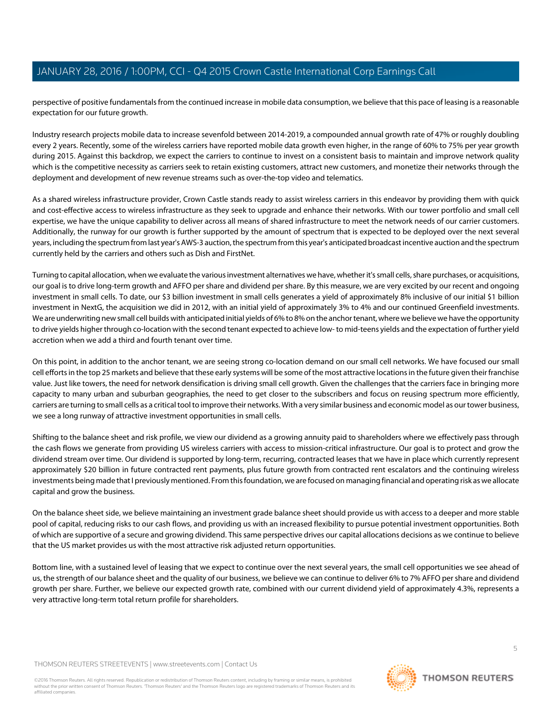perspective of positive fundamentals from the continued increase in mobile data consumption, we believe that this pace of leasing is a reasonable expectation for our future growth.

Industry research projects mobile data to increase sevenfold between 2014-2019, a compounded annual growth rate of 47% or roughly doubling every 2 years. Recently, some of the wireless carriers have reported mobile data growth even higher, in the range of 60% to 75% per year growth during 2015. Against this backdrop, we expect the carriers to continue to invest on a consistent basis to maintain and improve network quality which is the competitive necessity as carriers seek to retain existing customers, attract new customers, and monetize their networks through the deployment and development of new revenue streams such as over-the-top video and telematics.

As a shared wireless infrastructure provider, Crown Castle stands ready to assist wireless carriers in this endeavor by providing them with quick and cost-effective access to wireless infrastructure as they seek to upgrade and enhance their networks. With our tower portfolio and small cell expertise, we have the unique capability to deliver across all means of shared infrastructure to meet the network needs of our carrier customers. Additionally, the runway for our growth is further supported by the amount of spectrum that is expected to be deployed over the next several years, including the spectrum from last year's AWS-3 auction, the spectrum from this year's anticipated broadcast incentive auction and the spectrum currently held by the carriers and others such as Dish and FirstNet.

Turning to capital allocation, when we evaluate the various investment alternatives we have, whether it's small cells, share purchases, or acquisitions, our goal is to drive long-term growth and AFFO per share and dividend per share. By this measure, we are very excited by our recent and ongoing investment in small cells. To date, our \$3 billion investment in small cells generates a yield of approximately 8% inclusive of our initial \$1 billion investment in NextG, the acquisition we did in 2012, with an initial yield of approximately 3% to 4% and our continued Greenfield investments. We are underwriting new small cell builds with anticipated initial yields of 6% to 8% on the anchor tenant, where we believe we have the opportunity to drive yields higher through co-location with the second tenant expected to achieve low- to mid-teens yields and the expectation of further yield accretion when we add a third and fourth tenant over time.

On this point, in addition to the anchor tenant, we are seeing strong co-location demand on our small cell networks. We have focused our small cell efforts in the top 25 markets and believe that these early systems will be some of the most attractive locations in the future given their franchise value. Just like towers, the need for network densification is driving small cell growth. Given the challenges that the carriers face in bringing more capacity to many urban and suburban geographies, the need to get closer to the subscribers and focus on reusing spectrum more efficiently, carriers are turning to small cells as a critical tool to improve their networks. With a very similar business and economic model as our tower business, we see a long runway of attractive investment opportunities in small cells.

Shifting to the balance sheet and risk profile, we view our dividend as a growing annuity paid to shareholders where we effectively pass through the cash flows we generate from providing US wireless carriers with access to mission-critical infrastructure. Our goal is to protect and grow the dividend stream over time. Our dividend is supported by long-term, recurring, contracted leases that we have in place which currently represent approximately \$20 billion in future contracted rent payments, plus future growth from contracted rent escalators and the continuing wireless investments being made that I previously mentioned. From this foundation, we are focused on managing financial and operating risk as we allocate capital and grow the business.

On the balance sheet side, we believe maintaining an investment grade balance sheet should provide us with access to a deeper and more stable pool of capital, reducing risks to our cash flows, and providing us with an increased flexibility to pursue potential investment opportunities. Both of which are supportive of a secure and growing dividend. This same perspective drives our capital allocations decisions as we continue to believe that the US market provides us with the most attractive risk adjusted return opportunities.

Bottom line, with a sustained level of leasing that we expect to continue over the next several years, the small cell opportunities we see ahead of us, the strength of our balance sheet and the quality of our business, we believe we can continue to deliver 6% to 7% AFFO per share and dividend growth per share. Further, we believe our expected growth rate, combined with our current dividend yield of approximately 4.3%, represents a very attractive long-term total return profile for shareholders.

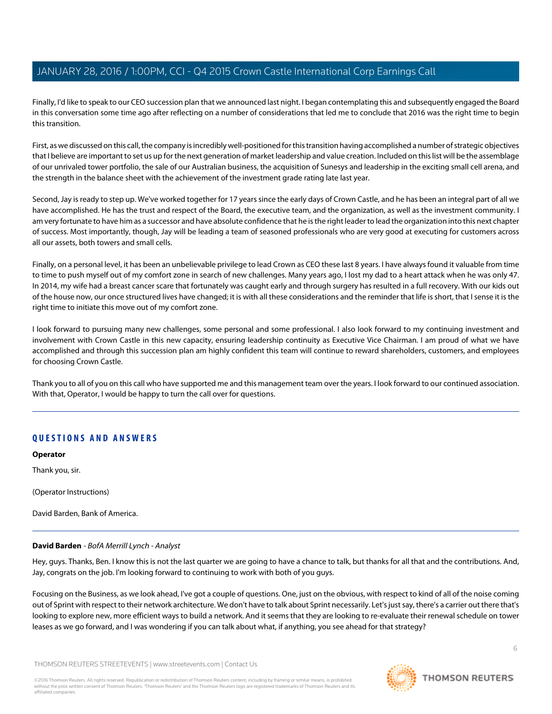Finally, I'd like to speak to our CEO succession plan that we announced last night. I began contemplating this and subsequently engaged the Board in this conversation some time ago after reflecting on a number of considerations that led me to conclude that 2016 was the right time to begin this transition.

First, as we discussed on this call, the company is incredibly well-positioned for this transition having accomplished a number of strategic objectives that I believe are important to set us up for the next generation of market leadership and value creation. Included on this list will be the assemblage of our unrivaled tower portfolio, the sale of our Australian business, the acquisition of Sunesys and leadership in the exciting small cell arena, and the strength in the balance sheet with the achievement of the investment grade rating late last year.

Second, Jay is ready to step up. We've worked together for 17 years since the early days of Crown Castle, and he has been an integral part of all we have accomplished. He has the trust and respect of the Board, the executive team, and the organization, as well as the investment community. I am very fortunate to have him as a successor and have absolute confidence that he is the right leader to lead the organization into this next chapter of success. Most importantly, though, Jay will be leading a team of seasoned professionals who are very good at executing for customers across all our assets, both towers and small cells.

Finally, on a personal level, it has been an unbelievable privilege to lead Crown as CEO these last 8 years. I have always found it valuable from time to time to push myself out of my comfort zone in search of new challenges. Many years ago, I lost my dad to a heart attack when he was only 47. In 2014, my wife had a breast cancer scare that fortunately was caught early and through surgery has resulted in a full recovery. With our kids out of the house now, our once structured lives have changed; it is with all these considerations and the reminder that life is short, that I sense it is the right time to initiate this move out of my comfort zone.

I look forward to pursuing many new challenges, some personal and some professional. I also look forward to my continuing investment and involvement with Crown Castle in this new capacity, ensuring leadership continuity as Executive Vice Chairman. I am proud of what we have accomplished and through this succession plan am highly confident this team will continue to reward shareholders, customers, and employees for choosing Crown Castle.

Thank you to all of you on this call who have supported me and this management team over the years. I look forward to our continued association. With that, Operator, I would be happy to turn the call over for questions.

# **QUESTIONS AND ANSWERS**

**Operator**

Thank you, sir.

<span id="page-5-0"></span>(Operator Instructions)

David Barden, Bank of America.

# **David Barden** - BofA Merrill Lynch - Analyst

Hey, guys. Thanks, Ben. I know this is not the last quarter we are going to have a chance to talk, but thanks for all that and the contributions. And, Jay, congrats on the job. I'm looking forward to continuing to work with both of you guys.

Focusing on the Business, as we look ahead, I've got a couple of questions. One, just on the obvious, with respect to kind of all of the noise coming out of Sprint with respect to their network architecture. We don't have to talk about Sprint necessarily. Let's just say, there's a carrier out there that's looking to explore new, more efficient ways to build a network. And it seems that they are looking to re-evaluate their renewal schedule on tower leases as we go forward, and I was wondering if you can talk about what, if anything, you see ahead for that strategy?

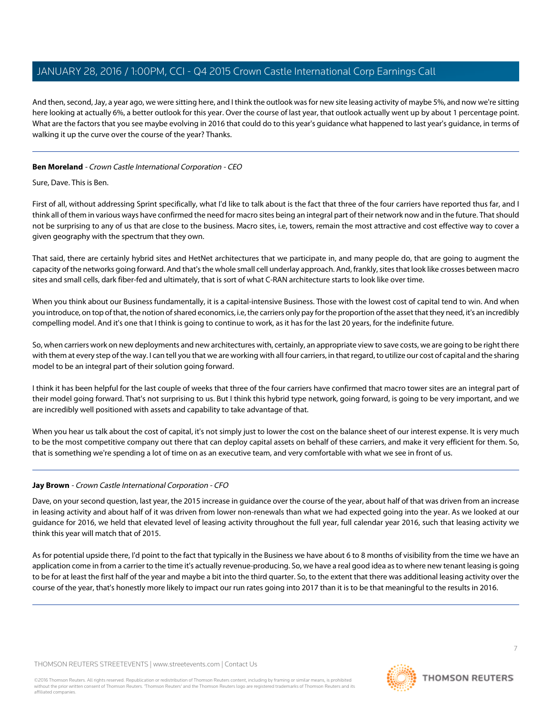And then, second, Jay, a year ago, we were sitting here, and I think the outlook was for new site leasing activity of maybe 5%, and now we're sitting here looking at actually 6%, a better outlook for this year. Over the course of last year, that outlook actually went up by about 1 percentage point. What are the factors that you see maybe evolving in 2016 that could do to this year's guidance what happened to last year's guidance, in terms of walking it up the curve over the course of the year? Thanks.

# **Ben Moreland** - Crown Castle International Corporation - CEO

Sure, Dave. This is Ben.

First of all, without addressing Sprint specifically, what I'd like to talk about is the fact that three of the four carriers have reported thus far, and I think all of them in various ways have confirmed the need for macro sites being an integral part of their network now and in the future. That should not be surprising to any of us that are close to the business. Macro sites, i.e, towers, remain the most attractive and cost effective way to cover a given geography with the spectrum that they own.

That said, there are certainly hybrid sites and HetNet architectures that we participate in, and many people do, that are going to augment the capacity of the networks going forward. And that's the whole small cell underlay approach. And, frankly, sites that look like crosses between macro sites and small cells, dark fiber-fed and ultimately, that is sort of what C-RAN architecture starts to look like over time.

When you think about our Business fundamentally, it is a capital-intensive Business. Those with the lowest cost of capital tend to win. And when you introduce, on top of that, the notion of shared economics, i.e, the carriers only pay for the proportion of the asset that they need, it's an incredibly compelling model. And it's one that I think is going to continue to work, as it has for the last 20 years, for the indefinite future.

So, when carriers work on new deployments and new architectures with, certainly, an appropriate view to save costs, we are going to be right there with them at every step of the way. I can tell you that we are working with all four carriers, in that regard, to utilize our cost of capital and the sharing model to be an integral part of their solution going forward.

I think it has been helpful for the last couple of weeks that three of the four carriers have confirmed that macro tower sites are an integral part of their model going forward. That's not surprising to us. But I think this hybrid type network, going forward, is going to be very important, and we are incredibly well positioned with assets and capability to take advantage of that.

When you hear us talk about the cost of capital, it's not simply just to lower the cost on the balance sheet of our interest expense. It is very much to be the most competitive company out there that can deploy capital assets on behalf of these carriers, and make it very efficient for them. So, that is something we're spending a lot of time on as an executive team, and very comfortable with what we see in front of us.

# **Jay Brown** - Crown Castle International Corporation - CFO

Dave, on your second question, last year, the 2015 increase in guidance over the course of the year, about half of that was driven from an increase in leasing activity and about half of it was driven from lower non-renewals than what we had expected going into the year. As we looked at our guidance for 2016, we held that elevated level of leasing activity throughout the full year, full calendar year 2016, such that leasing activity we think this year will match that of 2015.

As for potential upside there, I'd point to the fact that typically in the Business we have about 6 to 8 months of visibility from the time we have an application come in from a carrier to the time it's actually revenue-producing. So, we have a real good idea as to where new tenant leasing is going to be for at least the first half of the year and maybe a bit into the third quarter. So, to the extent that there was additional leasing activity over the course of the year, that's honestly more likely to impact our run rates going into 2017 than it is to be that meaningful to the results in 2016.

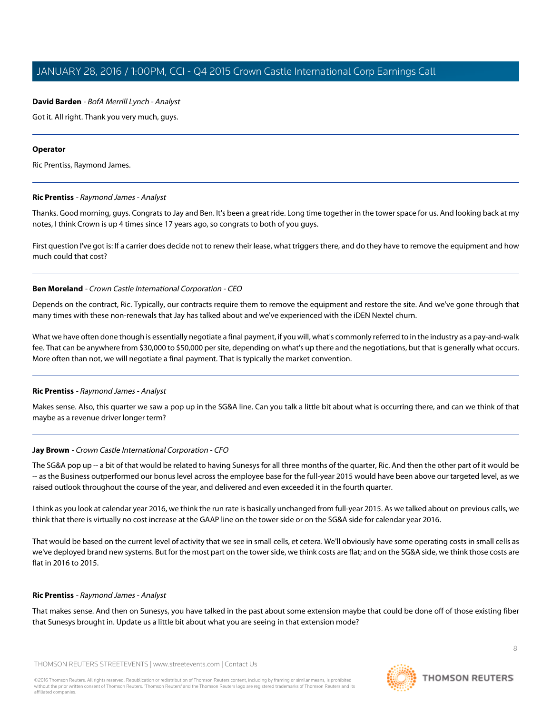# **David Barden** - BofA Merrill Lynch - Analyst

Got it. All right. Thank you very much, guys.

#### **Operator**

<span id="page-7-0"></span>Ric Prentiss, Raymond James.

#### **Ric Prentiss** - Raymond James - Analyst

Thanks. Good morning, guys. Congrats to Jay and Ben. It's been a great ride. Long time together in the tower space for us. And looking back at my notes, I think Crown is up 4 times since 17 years ago, so congrats to both of you guys.

First question I've got is: If a carrier does decide not to renew their lease, what triggers there, and do they have to remove the equipment and how much could that cost?

#### **Ben Moreland** - Crown Castle International Corporation - CEO

Depends on the contract, Ric. Typically, our contracts require them to remove the equipment and restore the site. And we've gone through that many times with these non-renewals that Jay has talked about and we've experienced with the iDEN Nextel churn.

What we have often done though is essentially negotiate a final payment, if you will, what's commonly referred to in the industry as a pay-and-walk fee. That can be anywhere from \$30,000 to \$50,000 per site, depending on what's up there and the negotiations, but that is generally what occurs. More often than not, we will negotiate a final payment. That is typically the market convention.

#### **Ric Prentiss** - Raymond James - Analyst

Makes sense. Also, this quarter we saw a pop up in the SG&A line. Can you talk a little bit about what is occurring there, and can we think of that maybe as a revenue driver longer term?

#### **Jay Brown** - Crown Castle International Corporation - CFO

The SG&A pop up -- a bit of that would be related to having Sunesys for all three months of the quarter, Ric. And then the other part of it would be -- as the Business outperformed our bonus level across the employee base for the full-year 2015 would have been above our targeted level, as we raised outlook throughout the course of the year, and delivered and even exceeded it in the fourth quarter.

I think as you look at calendar year 2016, we think the run rate is basically unchanged from full-year 2015. As we talked about on previous calls, we think that there is virtually no cost increase at the GAAP line on the tower side or on the SG&A side for calendar year 2016.

That would be based on the current level of activity that we see in small cells, et cetera. We'll obviously have some operating costs in small cells as we've deployed brand new systems. But for the most part on the tower side, we think costs are flat; and on the SG&A side, we think those costs are flat in 2016 to 2015.

#### **Ric Prentiss** - Raymond James - Analyst

That makes sense. And then on Sunesys, you have talked in the past about some extension maybe that could be done off of those existing fiber that Sunesys brought in. Update us a little bit about what you are seeing in that extension mode?

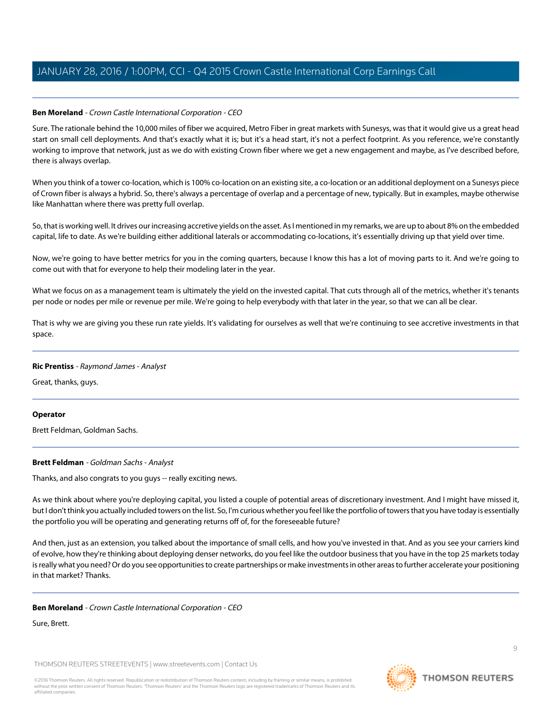# **Ben Moreland** - Crown Castle International Corporation - CEO

Sure. The rationale behind the 10,000 miles of fiber we acquired, Metro Fiber in great markets with Sunesys, was that it would give us a great head start on small cell deployments. And that's exactly what it is; but it's a head start, it's not a perfect footprint. As you reference, we're constantly working to improve that network, just as we do with existing Crown fiber where we get a new engagement and maybe, as I've described before, there is always overlap.

When you think of a tower co-location, which is 100% co-location on an existing site, a co-location or an additional deployment on a Sunesys piece of Crown fiber is always a hybrid. So, there's always a percentage of overlap and a percentage of new, typically. But in examples, maybe otherwise like Manhattan where there was pretty full overlap.

So, that is working well. It drives our increasing accretive yields on the asset. As I mentioned in my remarks, we are up to about 8% on the embedded capital, life to date. As we're building either additional laterals or accommodating co-locations, it's essentially driving up that yield over time.

Now, we're going to have better metrics for you in the coming quarters, because I know this has a lot of moving parts to it. And we're going to come out with that for everyone to help their modeling later in the year.

What we focus on as a management team is ultimately the yield on the invested capital. That cuts through all of the metrics, whether it's tenants per node or nodes per mile or revenue per mile. We're going to help everybody with that later in the year, so that we can all be clear.

That is why we are giving you these run rate yields. It's validating for ourselves as well that we're continuing to see accretive investments in that space.

# **Ric Prentiss** - Raymond James - Analyst

Great, thanks, guys.

# <span id="page-8-0"></span>**Operator**

Brett Feldman, Goldman Sachs.

# **Brett Feldman** - Goldman Sachs - Analyst

Thanks, and also congrats to you guys -- really exciting news.

As we think about where you're deploying capital, you listed a couple of potential areas of discretionary investment. And I might have missed it, but I don't think you actually included towers on the list. So, I'm curious whether you feel like the portfolio of towers that you have today is essentially the portfolio you will be operating and generating returns off of, for the foreseeable future?

And then, just as an extension, you talked about the importance of small cells, and how you've invested in that. And as you see your carriers kind of evolve, how they're thinking about deploying denser networks, do you feel like the outdoor business that you have in the top 25 markets today is really what you need? Or do you see opportunities to create partnerships or make investments in other areas to further accelerate your positioning in that market? Thanks.

# **Ben Moreland** - Crown Castle International Corporation - CEO

Sure, Brett.

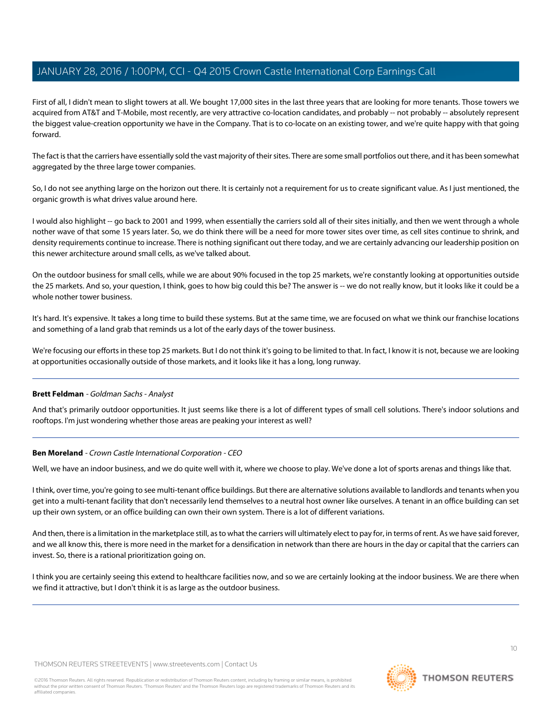First of all, I didn't mean to slight towers at all. We bought 17,000 sites in the last three years that are looking for more tenants. Those towers we acquired from AT&T and T-Mobile, most recently, are very attractive co-location candidates, and probably -- not probably -- absolutely represent the biggest value-creation opportunity we have in the Company. That is to co-locate on an existing tower, and we're quite happy with that going forward.

The fact is that the carriers have essentially sold the vast majority of their sites. There are some small portfolios out there, and it has been somewhat aggregated by the three large tower companies.

So, I do not see anything large on the horizon out there. It is certainly not a requirement for us to create significant value. As I just mentioned, the organic growth is what drives value around here.

I would also highlight -- go back to 2001 and 1999, when essentially the carriers sold all of their sites initially, and then we went through a whole nother wave of that some 15 years later. So, we do think there will be a need for more tower sites over time, as cell sites continue to shrink, and density requirements continue to increase. There is nothing significant out there today, and we are certainly advancing our leadership position on this newer architecture around small cells, as we've talked about.

On the outdoor business for small cells, while we are about 90% focused in the top 25 markets, we're constantly looking at opportunities outside the 25 markets. And so, your question, I think, goes to how big could this be? The answer is -- we do not really know, but it looks like it could be a whole nother tower business.

It's hard. It's expensive. It takes a long time to build these systems. But at the same time, we are focused on what we think our franchise locations and something of a land grab that reminds us a lot of the early days of the tower business.

We're focusing our efforts in these top 25 markets. But I do not think it's going to be limited to that. In fact, I know it is not, because we are looking at opportunities occasionally outside of those markets, and it looks like it has a long, long runway.

# **Brett Feldman** - Goldman Sachs - Analyst

And that's primarily outdoor opportunities. It just seems like there is a lot of different types of small cell solutions. There's indoor solutions and rooftops. I'm just wondering whether those areas are peaking your interest as well?

# **Ben Moreland** - Crown Castle International Corporation - CEO

Well, we have an indoor business, and we do quite well with it, where we choose to play. We've done a lot of sports arenas and things like that.

I think, over time, you're going to see multi-tenant office buildings. But there are alternative solutions available to landlords and tenants when you get into a multi-tenant facility that don't necessarily lend themselves to a neutral host owner like ourselves. A tenant in an office building can set up their own system, or an office building can own their own system. There is a lot of different variations.

And then, there is a limitation in the marketplace still, as to what the carriers will ultimately elect to pay for, in terms of rent. As we have said forever, and we all know this, there is more need in the market for a densification in network than there are hours in the day or capital that the carriers can invest. So, there is a rational prioritization going on.

I think you are certainly seeing this extend to healthcare facilities now, and so we are certainly looking at the indoor business. We are there when we find it attractive, but I don't think it is as large as the outdoor business.

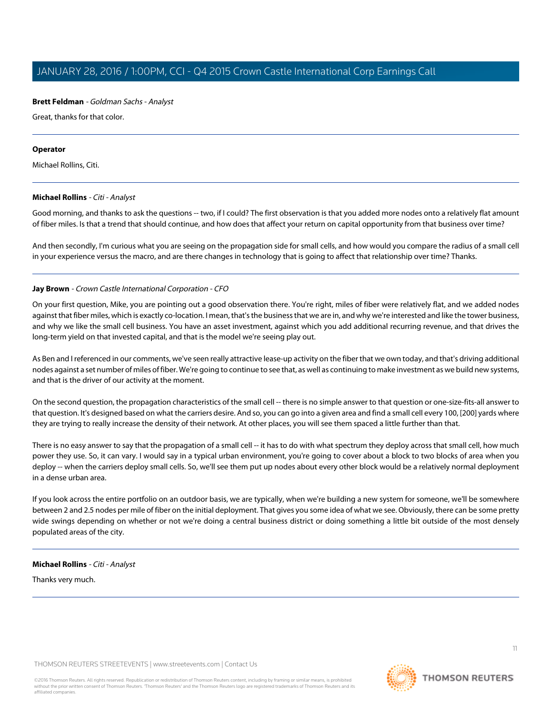#### **Brett Feldman** - Goldman Sachs - Analyst

Great, thanks for that color.

#### **Operator**

<span id="page-10-0"></span>Michael Rollins, Citi.

#### **Michael Rollins** - Citi - Analyst

Good morning, and thanks to ask the questions -- two, if I could? The first observation is that you added more nodes onto a relatively flat amount of fiber miles. Is that a trend that should continue, and how does that affect your return on capital opportunity from that business over time?

And then secondly, I'm curious what you are seeing on the propagation side for small cells, and how would you compare the radius of a small cell in your experience versus the macro, and are there changes in technology that is going to affect that relationship over time? Thanks.

# **Jay Brown** - Crown Castle International Corporation - CFO

On your first question, Mike, you are pointing out a good observation there. You're right, miles of fiber were relatively flat, and we added nodes against that fiber miles, which is exactly co-location. I mean, that's the business that we are in, and why we're interested and like the tower business, and why we like the small cell business. You have an asset investment, against which you add additional recurring revenue, and that drives the long-term yield on that invested capital, and that is the model we're seeing play out.

As Ben and I referenced in our comments, we've seen really attractive lease-up activity on the fiber that we own today, and that's driving additional nodes against a set number of miles of fiber. We're going to continue to see that, as well as continuing to make investment as we build new systems, and that is the driver of our activity at the moment.

On the second question, the propagation characteristics of the small cell -- there is no simple answer to that question or one-size-fits-all answer to that question. It's designed based on what the carriers desire. And so, you can go into a given area and find a small cell every 100, [200] yards where they are trying to really increase the density of their network. At other places, you will see them spaced a little further than that.

There is no easy answer to say that the propagation of a small cell -- it has to do with what spectrum they deploy across that small cell, how much power they use. So, it can vary. I would say in a typical urban environment, you're going to cover about a block to two blocks of area when you deploy -- when the carriers deploy small cells. So, we'll see them put up nodes about every other block would be a relatively normal deployment in a dense urban area.

If you look across the entire portfolio on an outdoor basis, we are typically, when we're building a new system for someone, we'll be somewhere between 2 and 2.5 nodes per mile of fiber on the initial deployment. That gives you some idea of what we see. Obviously, there can be some pretty wide swings depending on whether or not we're doing a central business district or doing something a little bit outside of the most densely populated areas of the city.

#### **Michael Rollins** - Citi - Analyst

Thanks very much.

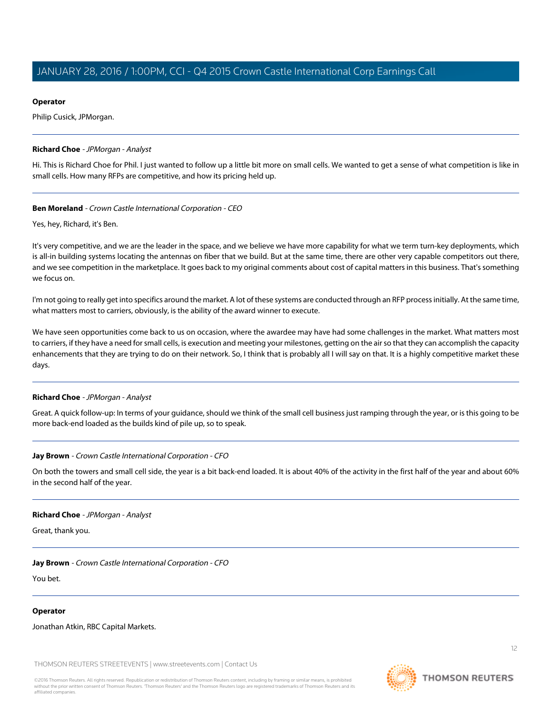### **Operator**

Philip Cusick, JPMorgan.

#### <span id="page-11-0"></span>**Richard Choe** - JPMorgan - Analyst

Hi. This is Richard Choe for Phil. I just wanted to follow up a little bit more on small cells. We wanted to get a sense of what competition is like in small cells. How many RFPs are competitive, and how its pricing held up.

#### **Ben Moreland** - Crown Castle International Corporation - CEO

Yes, hey, Richard, it's Ben.

It's very competitive, and we are the leader in the space, and we believe we have more capability for what we term turn-key deployments, which is all-in building systems locating the antennas on fiber that we build. But at the same time, there are other very capable competitors out there, and we see competition in the marketplace. It goes back to my original comments about cost of capital matters in this business. That's something we focus on.

I'm not going to really get into specifics around the market. A lot of these systems are conducted through an RFP process initially. At the same time, what matters most to carriers, obviously, is the ability of the award winner to execute.

We have seen opportunities come back to us on occasion, where the awardee may have had some challenges in the market. What matters most to carriers, if they have a need for small cells, is execution and meeting your milestones, getting on the air so that they can accomplish the capacity enhancements that they are trying to do on their network. So, I think that is probably all I will say on that. It is a highly competitive market these days.

# **Richard Choe** - JPMorgan - Analyst

Great. A quick follow-up: In terms of your guidance, should we think of the small cell business just ramping through the year, or is this going to be more back-end loaded as the builds kind of pile up, so to speak.

#### **Jay Brown** - Crown Castle International Corporation - CFO

On both the towers and small cell side, the year is a bit back-end loaded. It is about 40% of the activity in the first half of the year and about 60% in the second half of the year.

#### **Richard Choe** - JPMorgan - Analyst

Great, thank you.

#### **Jay Brown** - Crown Castle International Corporation - CFO

You bet.

#### **Operator**

Jonathan Atkin, RBC Capital Markets.

THOMSON REUTERS STREETEVENTS | [www.streetevents.com](http://www.streetevents.com) | [Contact Us](http://www010.streetevents.com/contact.asp)

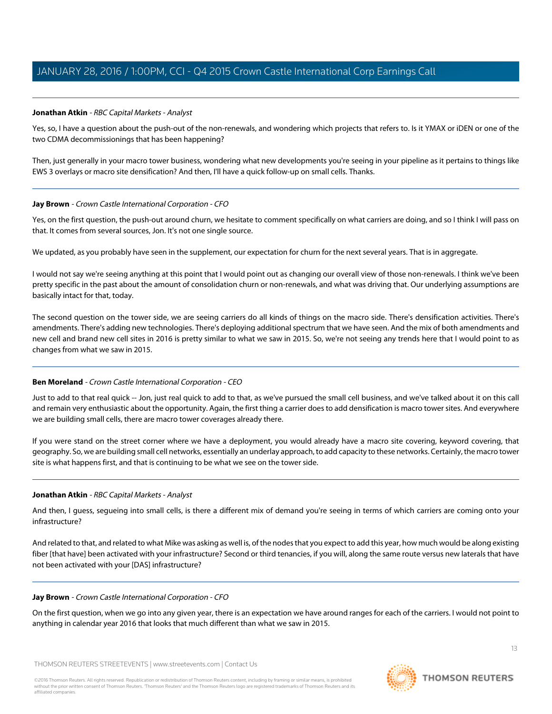# <span id="page-12-0"></span>**Jonathan Atkin** - RBC Capital Markets - Analyst

Yes, so, I have a question about the push-out of the non-renewals, and wondering which projects that refers to. Is it YMAX or iDEN or one of the two CDMA decommissionings that has been happening?

Then, just generally in your macro tower business, wondering what new developments you're seeing in your pipeline as it pertains to things like EWS 3 overlays or macro site densification? And then, I'll have a quick follow-up on small cells. Thanks.

#### **Jay Brown** - Crown Castle International Corporation - CFO

Yes, on the first question, the push-out around churn, we hesitate to comment specifically on what carriers are doing, and so I think I will pass on that. It comes from several sources, Jon. It's not one single source.

We updated, as you probably have seen in the supplement, our expectation for churn for the next several years. That is in aggregate.

I would not say we're seeing anything at this point that I would point out as changing our overall view of those non-renewals. I think we've been pretty specific in the past about the amount of consolidation churn or non-renewals, and what was driving that. Our underlying assumptions are basically intact for that, today.

The second question on the tower side, we are seeing carriers do all kinds of things on the macro side. There's densification activities. There's amendments. There's adding new technologies. There's deploying additional spectrum that we have seen. And the mix of both amendments and new cell and brand new cell sites in 2016 is pretty similar to what we saw in 2015. So, we're not seeing any trends here that I would point to as changes from what we saw in 2015.

# **Ben Moreland** - Crown Castle International Corporation - CEO

Just to add to that real quick -- Jon, just real quick to add to that, as we've pursued the small cell business, and we've talked about it on this call and remain very enthusiastic about the opportunity. Again, the first thing a carrier does to add densification is macro tower sites. And everywhere we are building small cells, there are macro tower coverages already there.

If you were stand on the street corner where we have a deployment, you would already have a macro site covering, keyword covering, that geography. So, we are building small cell networks, essentially an underlay approach, to add capacity to these networks. Certainly, the macro tower site is what happens first, and that is continuing to be what we see on the tower side.

# **Jonathan Atkin** - RBC Capital Markets - Analyst

And then, I guess, segueing into small cells, is there a different mix of demand you're seeing in terms of which carriers are coming onto your infrastructure?

And related to that, and related to what Mike was asking as well is, of the nodes that you expect to add this year, how much would be along existing fiber [that have] been activated with your infrastructure? Second or third tenancies, if you will, along the same route versus new laterals that have not been activated with your [DAS] infrastructure?

#### **Jay Brown** - Crown Castle International Corporation - CFO

On the first question, when we go into any given year, there is an expectation we have around ranges for each of the carriers. I would not point to anything in calendar year 2016 that looks that much different than what we saw in 2015.

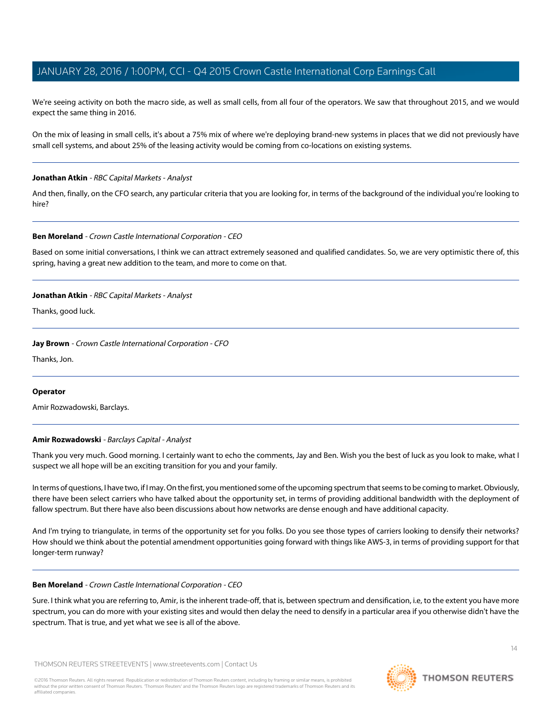We're seeing activity on both the macro side, as well as small cells, from all four of the operators. We saw that throughout 2015, and we would expect the same thing in 2016.

On the mix of leasing in small cells, it's about a 75% mix of where we're deploying brand-new systems in places that we did not previously have small cell systems, and about 25% of the leasing activity would be coming from co-locations on existing systems.

#### **Jonathan Atkin** - RBC Capital Markets - Analyst

And then, finally, on the CFO search, any particular criteria that you are looking for, in terms of the background of the individual you're looking to hire?

#### **Ben Moreland** - Crown Castle International Corporation - CEO

Based on some initial conversations, I think we can attract extremely seasoned and qualified candidates. So, we are very optimistic there of, this spring, having a great new addition to the team, and more to come on that.

#### **Jonathan Atkin** - RBC Capital Markets - Analyst

Thanks, good luck.

#### **Jay Brown** - Crown Castle International Corporation - CFO

Thanks, Jon.

#### <span id="page-13-0"></span>**Operator**

Amir Rozwadowski, Barclays.

# **Amir Rozwadowski** - Barclays Capital - Analyst

Thank you very much. Good morning. I certainly want to echo the comments, Jay and Ben. Wish you the best of luck as you look to make, what I suspect we all hope will be an exciting transition for you and your family.

In terms of questions, I have two, if I may. On the first, you mentioned some of the upcoming spectrum that seems to be coming to market. Obviously, there have been select carriers who have talked about the opportunity set, in terms of providing additional bandwidth with the deployment of fallow spectrum. But there have also been discussions about how networks are dense enough and have additional capacity.

And I'm trying to triangulate, in terms of the opportunity set for you folks. Do you see those types of carriers looking to densify their networks? How should we think about the potential amendment opportunities going forward with things like AWS-3, in terms of providing support for that longer-term runway?

#### **Ben Moreland** - Crown Castle International Corporation - CEO

Sure. I think what you are referring to, Amir, is the inherent trade-off, that is, between spectrum and densification, i.e, to the extent you have more spectrum, you can do more with your existing sites and would then delay the need to densify in a particular area if you otherwise didn't have the spectrum. That is true, and yet what we see is all of the above.

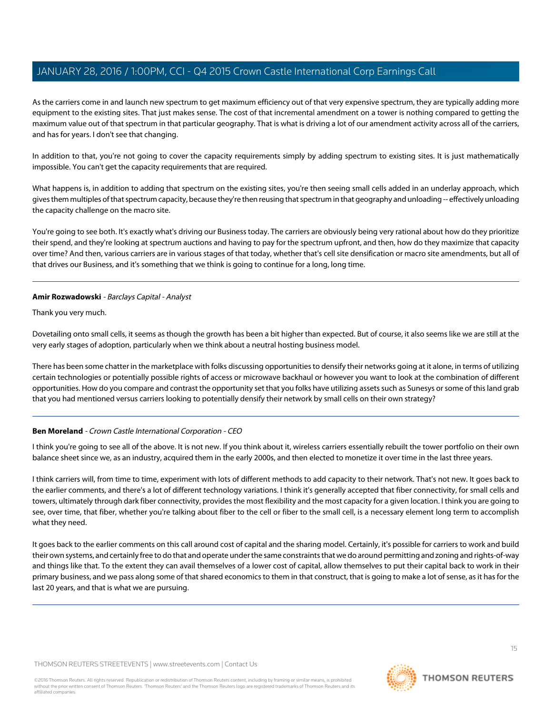As the carriers come in and launch new spectrum to get maximum efficiency out of that very expensive spectrum, they are typically adding more equipment to the existing sites. That just makes sense. The cost of that incremental amendment on a tower is nothing compared to getting the maximum value out of that spectrum in that particular geography. That is what is driving a lot of our amendment activity across all of the carriers, and has for years. I don't see that changing.

In addition to that, you're not going to cover the capacity requirements simply by adding spectrum to existing sites. It is just mathematically impossible. You can't get the capacity requirements that are required.

What happens is, in addition to adding that spectrum on the existing sites, you're then seeing small cells added in an underlay approach, which gives them multiples of that spectrum capacity, because they're then reusing that spectrum in that geography and unloading -- effectively unloading the capacity challenge on the macro site.

You're going to see both. It's exactly what's driving our Business today. The carriers are obviously being very rational about how do they prioritize their spend, and they're looking at spectrum auctions and having to pay for the spectrum upfront, and then, how do they maximize that capacity over time? And then, various carriers are in various stages of that today, whether that's cell site densification or macro site amendments, but all of that drives our Business, and it's something that we think is going to continue for a long, long time.

#### **Amir Rozwadowski** - Barclays Capital - Analyst

Thank you very much.

Dovetailing onto small cells, it seems as though the growth has been a bit higher than expected. But of course, it also seems like we are still at the very early stages of adoption, particularly when we think about a neutral hosting business model.

There has been some chatter in the marketplace with folks discussing opportunities to densify their networks going at it alone, in terms of utilizing certain technologies or potentially possible rights of access or microwave backhaul or however you want to look at the combination of different opportunities. How do you compare and contrast the opportunity set that you folks have utilizing assets such as Sunesys or some of this land grab that you had mentioned versus carriers looking to potentially densify their network by small cells on their own strategy?

# **Ben Moreland** - Crown Castle International Corporation - CEO

I think you're going to see all of the above. It is not new. If you think about it, wireless carriers essentially rebuilt the tower portfolio on their own balance sheet since we, as an industry, acquired them in the early 2000s, and then elected to monetize it over time in the last three years.

I think carriers will, from time to time, experiment with lots of different methods to add capacity to their network. That's not new. It goes back to the earlier comments, and there's a lot of different technology variations. I think it's generally accepted that fiber connectivity, for small cells and towers, ultimately through dark fiber connectivity, provides the most flexibility and the most capacity for a given location. I think you are going to see, over time, that fiber, whether you're talking about fiber to the cell or fiber to the small cell, is a necessary element long term to accomplish what they need.

It goes back to the earlier comments on this call around cost of capital and the sharing model. Certainly, it's possible for carriers to work and build their own systems, and certainly free to do that and operate under the same constraints that we do around permitting and zoning and rights-of-way and things like that. To the extent they can avail themselves of a lower cost of capital, allow themselves to put their capital back to work in their primary business, and we pass along some of that shared economics to them in that construct, that is going to make a lot of sense, as it has for the last 20 years, and that is what we are pursuing.

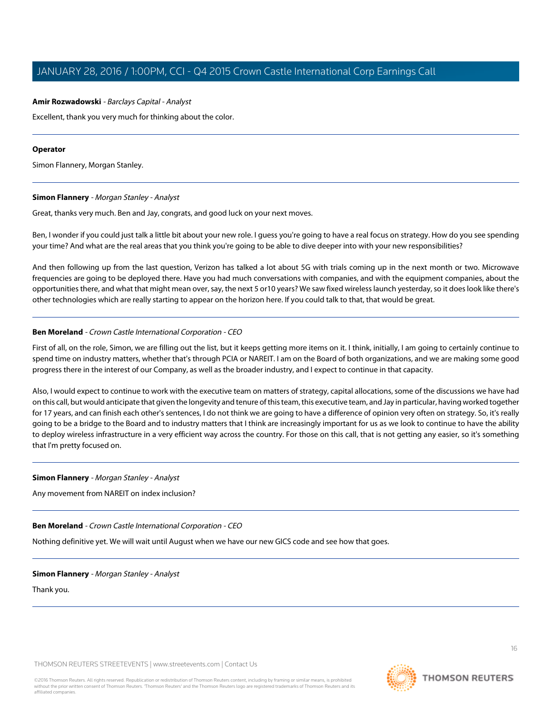#### **Amir Rozwadowski** - Barclays Capital - Analyst

Excellent, thank you very much for thinking about the color.

#### **Operator**

<span id="page-15-0"></span>Simon Flannery, Morgan Stanley.

#### **Simon Flannery** - Morgan Stanley - Analyst

Great, thanks very much. Ben and Jay, congrats, and good luck on your next moves.

Ben, I wonder if you could just talk a little bit about your new role. I guess you're going to have a real focus on strategy. How do you see spending your time? And what are the real areas that you think you're going to be able to dive deeper into with your new responsibilities?

And then following up from the last question, Verizon has talked a lot about 5G with trials coming up in the next month or two. Microwave frequencies are going to be deployed there. Have you had much conversations with companies, and with the equipment companies, about the opportunities there, and what that might mean over, say, the next 5 or10 years? We saw fixed wireless launch yesterday, so it does look like there's other technologies which are really starting to appear on the horizon here. If you could talk to that, that would be great.

#### **Ben Moreland** - Crown Castle International Corporation - CEO

First of all, on the role, Simon, we are filling out the list, but it keeps getting more items on it. I think, initially, I am going to certainly continue to spend time on industry matters, whether that's through PCIA or NAREIT. I am on the Board of both organizations, and we are making some good progress there in the interest of our Company, as well as the broader industry, and I expect to continue in that capacity.

Also, I would expect to continue to work with the executive team on matters of strategy, capital allocations, some of the discussions we have had on this call, but would anticipate that given the longevity and tenure of this team, this executive team, and Jay in particular, having worked together for 17 years, and can finish each other's sentences, I do not think we are going to have a difference of opinion very often on strategy. So, it's really going to be a bridge to the Board and to industry matters that I think are increasingly important for us as we look to continue to have the ability to deploy wireless infrastructure in a very efficient way across the country. For those on this call, that is not getting any easier, so it's something that I'm pretty focused on.

#### **Simon Flannery** - Morgan Stanley - Analyst

Any movement from NAREIT on index inclusion?

# **Ben Moreland** - Crown Castle International Corporation - CEO

Nothing definitive yet. We will wait until August when we have our new GICS code and see how that goes.

# **Simon Flannery** - Morgan Stanley - Analyst

Thank you.

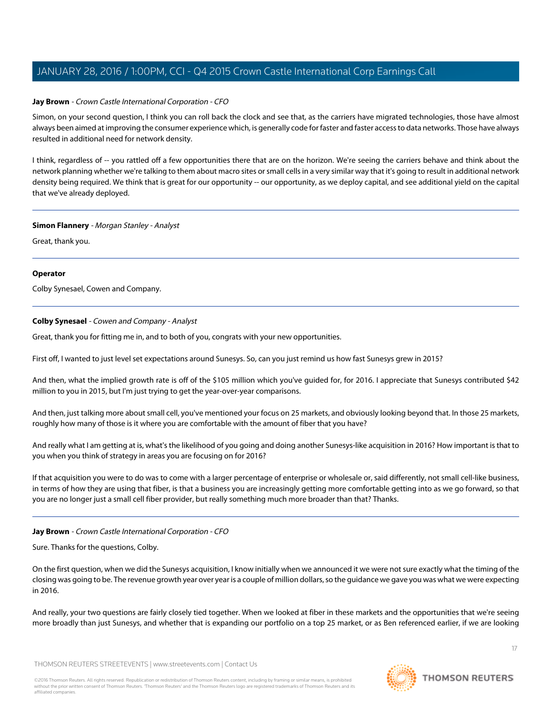#### **Jay Brown** - Crown Castle International Corporation - CFO

Simon, on your second question, I think you can roll back the clock and see that, as the carriers have migrated technologies, those have almost always been aimed at improving the consumer experience which, is generally code for faster and faster access to data networks. Those have always resulted in additional need for network density.

I think, regardless of -- you rattled off a few opportunities there that are on the horizon. We're seeing the carriers behave and think about the network planning whether we're talking to them about macro sites or small cells in a very similar way that it's going to result in additional network density being required. We think that is great for our opportunity -- our opportunity, as we deploy capital, and see additional yield on the capital that we've already deployed.

#### **Simon Flannery** - Morgan Stanley - Analyst

Great, thank you.

# **Operator**

<span id="page-16-0"></span>Colby Synesael, Cowen and Company.

# **Colby Synesael** - Cowen and Company - Analyst

Great, thank you for fitting me in, and to both of you, congrats with your new opportunities.

First off, I wanted to just level set expectations around Sunesys. So, can you just remind us how fast Sunesys grew in 2015?

And then, what the implied growth rate is off of the \$105 million which you've guided for, for 2016. I appreciate that Sunesys contributed \$42 million to you in 2015, but I'm just trying to get the year-over-year comparisons.

And then, just talking more about small cell, you've mentioned your focus on 25 markets, and obviously looking beyond that. In those 25 markets, roughly how many of those is it where you are comfortable with the amount of fiber that you have?

And really what I am getting at is, what's the likelihood of you going and doing another Sunesys-like acquisition in 2016? How important is that to you when you think of strategy in areas you are focusing on for 2016?

If that acquisition you were to do was to come with a larger percentage of enterprise or wholesale or, said differently, not small cell-like business, in terms of how they are using that fiber, is that a business you are increasingly getting more comfortable getting into as we go forward, so that you are no longer just a small cell fiber provider, but really something much more broader than that? Thanks.

# **Jay Brown** - Crown Castle International Corporation - CFO

Sure. Thanks for the questions, Colby.

On the first question, when we did the Sunesys acquisition, I know initially when we announced it we were not sure exactly what the timing of the closing was going to be. The revenue growth year over year is a couple of million dollars, so the guidance we gave you was what we were expecting in 2016.

And really, your two questions are fairly closely tied together. When we looked at fiber in these markets and the opportunities that we're seeing more broadly than just Sunesys, and whether that is expanding our portfolio on a top 25 market, or as Ben referenced earlier, if we are looking

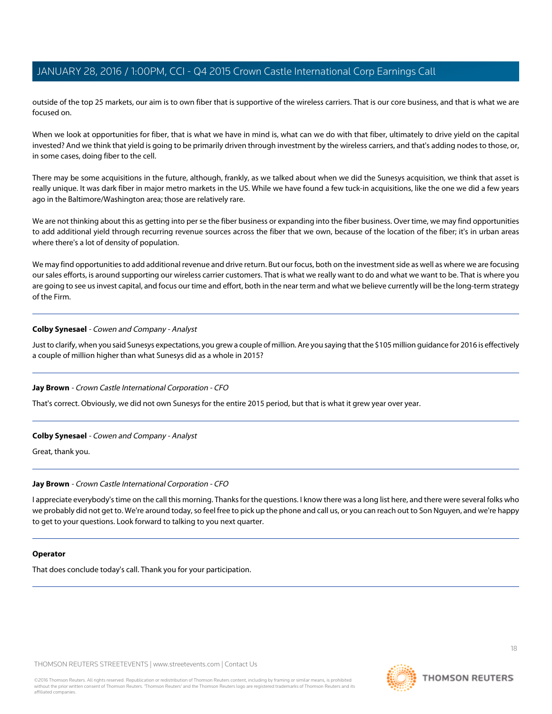outside of the top 25 markets, our aim is to own fiber that is supportive of the wireless carriers. That is our core business, and that is what we are focused on.

When we look at opportunities for fiber, that is what we have in mind is, what can we do with that fiber, ultimately to drive yield on the capital invested? And we think that yield is going to be primarily driven through investment by the wireless carriers, and that's adding nodes to those, or, in some cases, doing fiber to the cell.

There may be some acquisitions in the future, although, frankly, as we talked about when we did the Sunesys acquisition, we think that asset is really unique. It was dark fiber in major metro markets in the US. While we have found a few tuck-in acquisitions, like the one we did a few years ago in the Baltimore/Washington area; those are relatively rare.

We are not thinking about this as getting into per se the fiber business or expanding into the fiber business. Over time, we may find opportunities to add additional yield through recurring revenue sources across the fiber that we own, because of the location of the fiber; it's in urban areas where there's a lot of density of population.

We may find opportunities to add additional revenue and drive return. But our focus, both on the investment side as well as where we are focusing our sales efforts, is around supporting our wireless carrier customers. That is what we really want to do and what we want to be. That is where you are going to see us invest capital, and focus our time and effort, both in the near term and what we believe currently will be the long-term strategy of the Firm.

#### **Colby Synesael** - Cowen and Company - Analyst

Just to clarify, when you said Sunesys expectations, you grew a couple of million. Are you saying that the \$105 million guidance for 2016 is effectively a couple of million higher than what Sunesys did as a whole in 2015?

#### **Jay Brown** - Crown Castle International Corporation - CFO

That's correct. Obviously, we did not own Sunesys for the entire 2015 period, but that is what it grew year over year.

#### **Colby Synesael** - Cowen and Company - Analyst

Great, thank you.

#### **Jay Brown** - Crown Castle International Corporation - CFO

I appreciate everybody's time on the call this morning. Thanks for the questions. I know there was a long list here, and there were several folks who we probably did not get to. We're around today, so feel free to pick up the phone and call us, or you can reach out to Son Nguyen, and we're happy to get to your questions. Look forward to talking to you next quarter.

#### **Operator**

That does conclude today's call. Thank you for your participation.